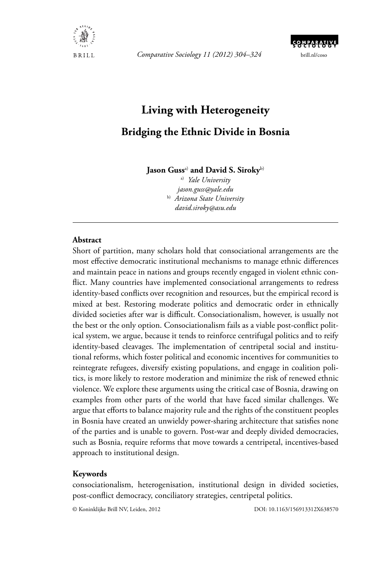

*Comparative Sociology 11 (2012) 304–324* brill.nl/coso



# **Living with Heterogeneity Bridging the Ethnic Divide in Bosnia**

**Jason Guss**a) **and David S. Siroky**b)

a) *Yale University jason.guss@yale.edu* b) *Arizona State University david.siroky@asu.edu*

## **Abstract**

Short of partition, many scholars hold that consociational arrangements are the most effective democratic institutional mechanisms to manage ethnic differences and maintain peace in nations and groups recently engaged in violent ethnic conflict. Many countries have implemented consociational arrangements to redress identity-based conflicts over recognition and resources, but the empirical record is mixed at best. Restoring moderate politics and democratic order in ethnically divided societies after war is difficult. Consociationalism, however, is usually not the best or the only option. Consociationalism fails as a viable post-conflict political system, we argue, because it tends to reinforce centrifugal politics and to reify identity-based cleavages. The implementation of centripetal social and institutional reforms, which foster political and economic incentives for communities to reintegrate refugees, diversify existing populations, and engage in coalition politics, is more likely to restore moderation and minimize the risk of renewed ethnic violence. We explore these arguments using the critical case of Bosnia, drawing on examples from other parts of the world that have faced similar challenges. We argue that efforts to balance majority rule and the rights of the constituent peoples in Bosnia have created an unwieldy power-sharing architecture that satisfies none of the parties and is unable to govern. Post-war and deeply divided democracies, such as Bosnia, require reforms that move towards a centripetal, incentives-based approach to institutional design.

### **Keywords**

consociationalism, heterogenisation, institutional design in divided societies, post-conflict democracy, conciliatory strategies, centripetal politics.

© Koninklijke Brill NV, Leiden, 2012 DOI: 10.1163/156913312X638570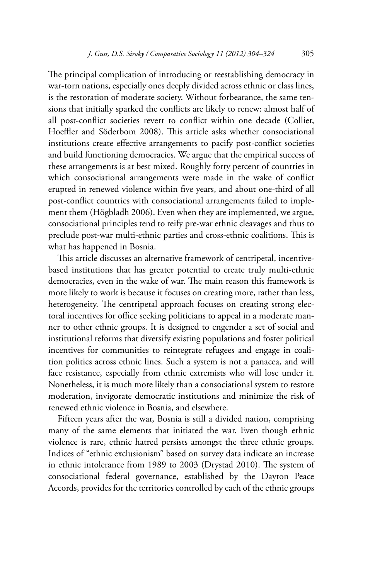The principal complication of introducing or reestablishing democracy in war-torn nations, especially ones deeply divided across ethnic or class lines, is the restoration of moderate society. Without forbearance, the same tensions that initially sparked the conflicts are likely to renew: almost half of all post-conflict societies revert to conflict within one decade (Collier, Hoeffler and Söderbom 2008). This article asks whether consociational institutions create effective arrangements to pacify post-conflict societies and build functioning democracies. We argue that the empirical success of these arrangements is at best mixed. Roughly forty percent of countries in which consociational arrangements were made in the wake of conflict erupted in renewed violence within five years, and about one-third of all post-conflict countries with consociational arrangements failed to implement them (Högbladh 2006). Even when they are implemented, we argue, consociational principles tend to reify pre-war ethnic cleavages and thus to preclude post-war multi-ethnic parties and cross-ethnic coalitions. This is what has happened in Bosnia.

This article discusses an alternative framework of centripetal, incentivebased institutions that has greater potential to create truly multi-ethnic democracies, even in the wake of war. The main reason this framework is more likely to work is because it focuses on creating more, rather than less, heterogeneity. The centripetal approach focuses on creating strong electoral incentives for office seeking politicians to appeal in a moderate manner to other ethnic groups. It is designed to engender a set of social and institutional reforms that diversify existing populations and foster political incentives for communities to reintegrate refugees and engage in coalition politics across ethnic lines. Such a system is not a panacea, and will face resistance, especially from ethnic extremists who will lose under it. Nonetheless, it is much more likely than a consociational system to restore moderation, invigorate democratic institutions and minimize the risk of renewed ethnic violence in Bosnia, and elsewhere.

Fifteen years after the war, Bosnia is still a divided nation, comprising many of the same elements that initiated the war. Even though ethnic violence is rare, ethnic hatred persists amongst the three ethnic groups. Indices of "ethnic exclusionism" based on survey data indicate an increase in ethnic intolerance from 1989 to 2003 (Drystad 2010). The system of consociational federal governance, established by the Dayton Peace Accords, provides for the territories controlled by each of the ethnic groups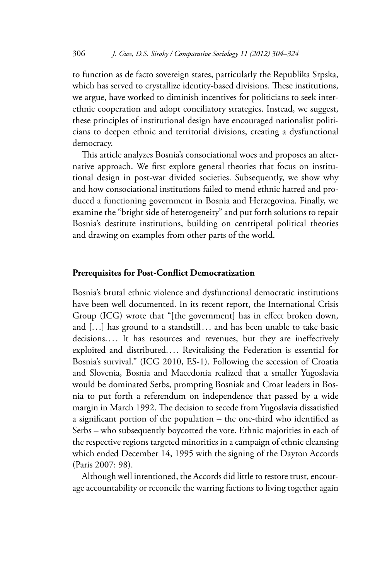to function as de facto sovereign states, particularly the Republika Srpska, which has served to crystallize identity-based divisions. These institutions, we argue, have worked to diminish incentives for politicians to seek interethnic cooperation and adopt conciliatory strategies. Instead, we suggest, these principles of institutional design have encouraged nationalist politicians to deepen ethnic and territorial divisions, creating a dysfunctional democracy.

This article analyzes Bosnia's consociational woes and proposes an alternative approach. We first explore general theories that focus on institutional design in post-war divided societies. Subsequently, we show why and how consociational institutions failed to mend ethnic hatred and produced a functioning government in Bosnia and Herzegovina. Finally, we examine the "bright side of heterogeneity" and put forth solutions to repair Bosnia's destitute institutions, building on centripetal political theories and drawing on examples from other parts of the world.

## **Prerequisites for Post-Conflict Democratization**

Bosnia's brutal ethnic violence and dysfunctional democratic institutions have been well documented. In its recent report, the International Crisis Group (ICG) wrote that "[the government] has in effect broken down, and  $[...]$  has ground to a standstill  $\ldots$  and has been unable to take basic decisions.... It has resources and revenues, but they are ineffectively exploited and distributed.... Revitalising the Federation is essential for Bosnia's survival." (ICG 2010, ES-1). Following the secession of Croatia and Slovenia, Bosnia and Macedonia realized that a smaller Yugoslavia would be dominated Serbs, prompting Bosniak and Croat leaders in Bosnia to put forth a referendum on independence that passed by a wide margin in March 1992. The decision to secede from Yugoslavia dissatisfied a significant portion of the population – the one-third who identified as Serbs – who subsequently boycotted the vote. Ethnic majorities in each of the respective regions targeted minorities in a campaign of ethnic cleansing which ended December 14, 1995 with the signing of the Dayton Accords (Paris 2007: 98).

Although well intentioned, the Accords did little to restore trust, encourage accountability or reconcile the warring factions to living together again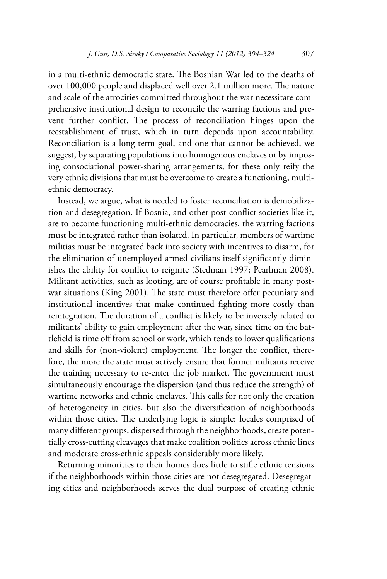in a multi-ethnic democratic state. The Bosnian War led to the deaths of over 100,000 people and displaced well over 2.1 million more. The nature and scale of the atrocities committed throughout the war necessitate comprehensive institutional design to reconcile the warring factions and prevent further conflict. The process of reconciliation hinges upon the reestablishment of trust, which in turn depends upon accountability. Reconciliation is a long-term goal, and one that cannot be achieved, we suggest, by separating populations into homogenous enclaves or by imposing consociational power-sharing arrangements, for these only reify the very ethnic divisions that must be overcome to create a functioning, multiethnic democracy.

Instead, we argue, what is needed to foster reconciliation is demobilization and desegregation. If Bosnia, and other post-conflict societies like it, are to become functioning multi-ethnic democracies, the warring factions must be integrated rather than isolated. In particular, members of wartime militias must be integrated back into society with incentives to disarm, for the elimination of unemployed armed civilians itself significantly diminishes the ability for conflict to reignite (Stedman 1997; Pearlman 2008). Militant activities, such as looting, are of course profitable in many postwar situations (King 2001). The state must therefore offer pecuniary and institutional incentives that make continued fighting more costly than reintegration. The duration of a conflict is likely to be inversely related to militants' ability to gain employment after the war, since time on the battlefield is time off from school or work, which tends to lower qualifications and skills for (non-violent) employment. The longer the conflict, therefore, the more the state must actively ensure that former militants receive the training necessary to re-enter the job market. The government must simultaneously encourage the dispersion (and thus reduce the strength) of wartime networks and ethnic enclaves. This calls for not only the creation of heterogeneity in cities, but also the diversification of neighborhoods within those cities. The underlying logic is simple: locales comprised of many different groups, dispersed through the neighborhoods, create potentially cross-cutting cleavages that make coalition politics across ethnic lines and moderate cross-ethnic appeals considerably more likely.

Returning minorities to their homes does little to stifle ethnic tensions if the neighborhoods within those cities are not desegregated. Desegregating cities and neighborhoods serves the dual purpose of creating ethnic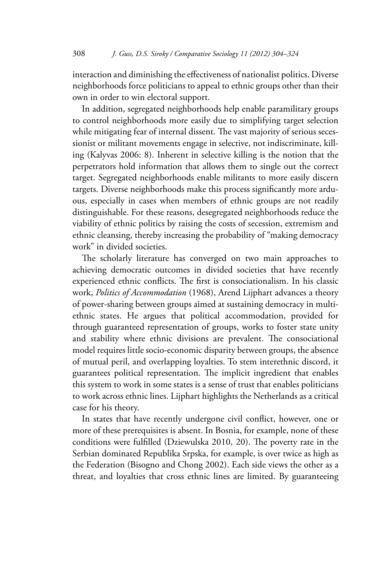interaction and diminishing the effectiveness of nationalist politics. Diverse neighborhoods force politicians to appeal to ethnic groups other than their own in order to win electoral support.

In addition, segregated neighborhoods help enable paramilitary groups to control neighborhoods more easily due to simplifying target selection while mitigating fear of internal dissent. The vast majority of serious secessionist or militant movements engage in selective, not indiscriminate, killing (Kalyvas 2006: 8). Inherent in selective killing is the notion that the perpetrators hold information that allows them to single out the correct target. Segregated neighborhoods enable militants to more easily discern targets. Diverse neighborhoods make this process significantly more arduous, especially in cases when members of ethnic groups are not readily distinguishable. For these reasons, desegregated neighborhoods reduce the viability of ethnic politics by raising the costs of secession, extremism and ethnic cleansing, thereby increasing the probability of "making democracy work" in divided societies.

The scholarly literature has converged on two main approaches to achieving democratic outcomes in divided societies that have recently experienced ethnic conflicts. The first is consociationalism. In his classic work, *Politics of Accommodation* (1968), Arend Lijphart advances a theory of power-sharing between groups aimed at sustaining democracy in multiethnic states. He argues that political accommodation, provided for through guaranteed representation of groups, works to foster state unity and stability where ethnic divisions are prevalent. The consociational model requires little socio-economic disparity between groups, the absence of mutual peril, and overlapping loyalties. To stem interethnic discord, it guarantees political representation. The implicit ingredient that enables this system to work in some states is a sense of trust that enables politicians to work across ethnic lines. Lijphart highlights the Netherlands as a critical case for his theory.

In states that have recently undergone civil conflict, however, one or more of these prerequisites is absent. In Bosnia, for example, none of these conditions were fulfilled (Dziewulska 2010, 20). The poverty rate in the Serbian dominated Republika Srpska, for example, is over twice as high as the Federation (Bisogno and Chong 2002). Each side views the other as a threat, and loyalties that cross ethnic lines are limited. By guaranteeing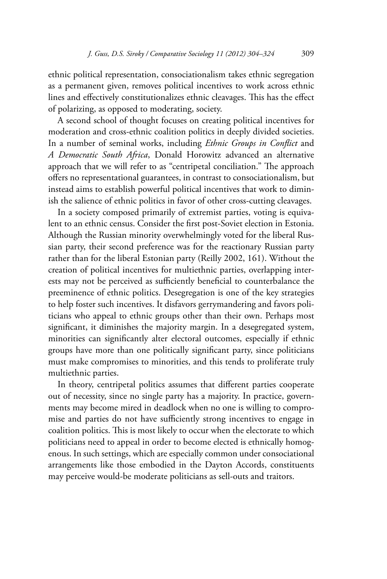ethnic political representation, consociationalism takes ethnic segregation as a permanent given, removes political incentives to work across ethnic lines and effectively constitutionalizes ethnic cleavages. This has the effect of polarizing, as opposed to moderating, society.

A second school of thought focuses on creating political incentives for moderation and cross-ethnic coalition politics in deeply divided societies. In a number of seminal works, including *Ethnic Groups in Conflict* and *A Democratic South Africa*, Donald Horowitz advanced an alternative approach that we will refer to as "centripetal conciliation." The approach offers no representational guarantees, in contrast to consociationalism, but instead aims to establish powerful political incentives that work to diminish the salience of ethnic politics in favor of other cross-cutting cleavages.

In a society composed primarily of extremist parties, voting is equivalent to an ethnic census. Consider the first post-Soviet election in Estonia. Although the Russian minority overwhelmingly voted for the liberal Russian party, their second preference was for the reactionary Russian party rather than for the liberal Estonian party (Reilly 2002, 161). Without the creation of political incentives for multiethnic parties, overlapping interests may not be perceived as sufficiently beneficial to counterbalance the preeminence of ethnic politics. Desegregation is one of the key strategies to help foster such incentives. It disfavors gerrymandering and favors politicians who appeal to ethnic groups other than their own. Perhaps most significant, it diminishes the majority margin. In a desegregated system, minorities can significantly alter electoral outcomes, especially if ethnic groups have more than one politically significant party, since politicians must make compromises to minorities, and this tends to proliferate truly multiethnic parties.

In theory, centripetal politics assumes that different parties cooperate out of necessity, since no single party has a majority. In practice, governments may become mired in deadlock when no one is willing to compromise and parties do not have sufficiently strong incentives to engage in coalition politics. This is most likely to occur when the electorate to which politicians need to appeal in order to become elected is ethnically homogenous. In such settings, which are especially common under consociational arrangements like those embodied in the Dayton Accords, constituents may perceive would-be moderate politicians as sell-outs and traitors.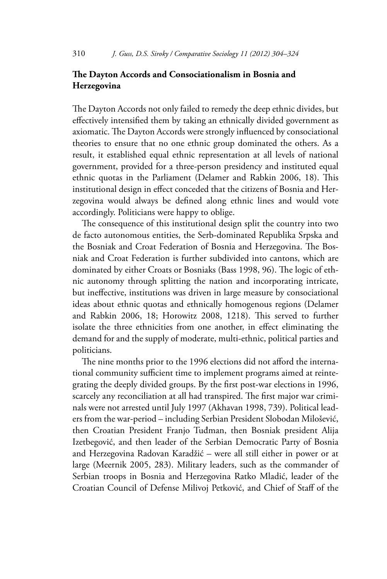## **The Dayton Accords and Consociationalism in Bosnia and Herzegovina**

The Dayton Accords not only failed to remedy the deep ethnic divides, but effectively intensified them by taking an ethnically divided government as axiomatic. The Dayton Accords were strongly influenced by consociational theories to ensure that no one ethnic group dominated the others. As a result, it established equal ethnic representation at all levels of national government, provided for a three-person presidency and instituted equal ethnic quotas in the Parliament (Delamer and Rabkin 2006, 18). This institutional design in effect conceded that the citizens of Bosnia and Herzegovina would always be defined along ethnic lines and would vote accordingly. Politicians were happy to oblige.

The consequence of this institutional design split the country into two de facto autonomous entities, the Serb-dominated Republika Srpska and the Bosniak and Croat Federation of Bosnia and Herzegovina. The Bosniak and Croat Federation is further subdivided into cantons, which are dominated by either Croats or Bosniaks (Bass 1998, 96). The logic of ethnic autonomy through splitting the nation and incorporating intricate, but ineffective, institutions was driven in large measure by consociational ideas about ethnic quotas and ethnically homogenous regions (Delamer and Rabkin 2006, 18; Horowitz 2008, 1218). This served to further isolate the three ethnicities from one another, in effect eliminating the demand for and the supply of moderate, multi-ethnic, political parties and politicians.

The nine months prior to the 1996 elections did not afford the international community sufficient time to implement programs aimed at reintegrating the deeply divided groups. By the first post-war elections in 1996, scarcely any reconciliation at all had transpired. The first major war criminals were not arrested until July 1997 (Akhavan 1998, 739). Political leaders from the war-period – including Serbian President Slobodan Milošević, then Croatian President Franjo Tuđman, then Bosniak president Alija Izetbegović, and then leader of the Serbian Democratic Party of Bosnia and Herzegovina Radovan Karadžić – were all still either in power or at large (Meernik 2005, 283). Military leaders, such as the commander of Serbian troops in Bosnia and Herzegovina Ratko Mladić, leader of the Croatian Council of Defense Milivoj Petković, and Chief of Staff of the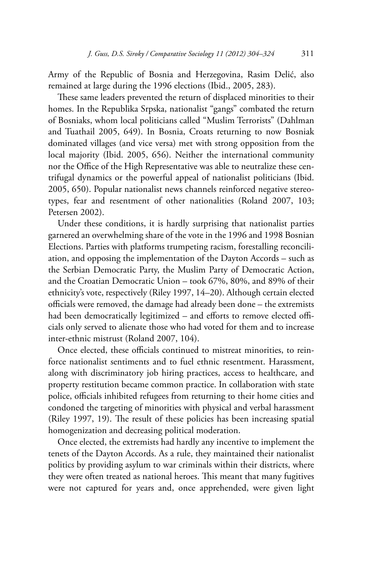Army of the Republic of Bosnia and Herzegovina, Rasim Delić, also remained at large during the 1996 elections (Ibid., 2005, 283).

These same leaders prevented the return of displaced minorities to their homes. In the Republika Srpska, nationalist "gangs" combated the return of Bosniaks, whom local politicians called "Muslim Terrorists" (Dahlman and Tuathail 2005, 649). In Bosnia, Croats returning to now Bosniak dominated villages (and vice versa) met with strong opposition from the local majority (Ibid. 2005, 656). Neither the international community nor the Office of the High Representative was able to neutralize these centrifugal dynamics or the powerful appeal of nationalist politicians (Ibid. 2005, 650). Popular nationalist news channels reinforced negative stereotypes, fear and resentment of other nationalities (Roland 2007, 103; Petersen 2002).

Under these conditions, it is hardly surprising that nationalist parties garnered an overwhelming share of the vote in the 1996 and 1998 Bosnian Elections. Parties with platforms trumpeting racism, forestalling reconciliation, and opposing the implementation of the Dayton Accords – such as the Serbian Democratic Party, the Muslim Party of Democratic Action, and the Croatian Democratic Union – took 67%, 80%, and 89% of their ethnicity's vote, respectively (Riley 1997, 14–20). Although certain elected officials were removed, the damage had already been done – the extremists had been democratically legitimized – and efforts to remove elected officials only served to alienate those who had voted for them and to increase inter-ethnic mistrust (Roland 2007, 104).

Once elected, these officials continued to mistreat minorities, to reinforce nationalist sentiments and to fuel ethnic resentment. Harassment, along with discriminatory job hiring practices, access to healthcare, and property restitution became common practice. In collaboration with state police, officials inhibited refugees from returning to their home cities and condoned the targeting of minorities with physical and verbal harassment (Riley 1997, 19). The result of these policies has been increasing spatial homogenization and decreasing political moderation.

Once elected, the extremists had hardly any incentive to implement the tenets of the Dayton Accords. As a rule, they maintained their nationalist politics by providing asylum to war criminals within their districts, where they were often treated as national heroes. This meant that many fugitives were not captured for years and, once apprehended, were given light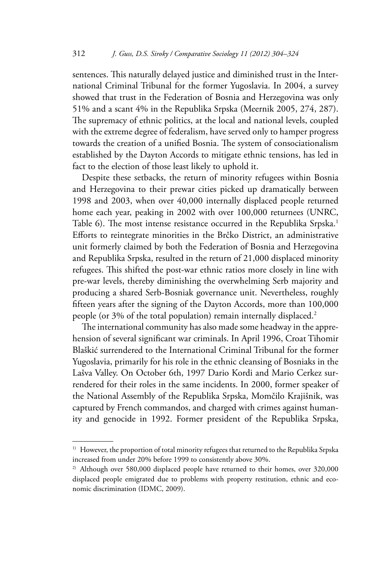sentences. This naturally delayed justice and diminished trust in the International Criminal Tribunal for the former Yugoslavia. In 2004, a survey showed that trust in the Federation of Bosnia and Herzegovina was only 51% and a scant 4% in the Republika Srpska (Meernik 2005, 274, 287). The supremacy of ethnic politics, at the local and national levels, coupled with the extreme degree of federalism, have served only to hamper progress towards the creation of a unified Bosnia. The system of consociationalism established by the Dayton Accords to mitigate ethnic tensions, has led in fact to the election of those least likely to uphold it.

Despite these setbacks, the return of minority refugees within Bosnia and Herzegovina to their prewar cities picked up dramatically between 1998 and 2003, when over 40,000 internally displaced people returned home each year, peaking in 2002 with over 100,000 returnees (UNRC, Table 6). The most intense resistance occurred in the Republika Srpska.<sup>1</sup> Efforts to reintegrate minorities in the Brčko District, an administrative unit formerly claimed by both the Federation of Bosnia and Herzegovina and Republika Srpska, resulted in the return of 21,000 displaced minority refugees. This shifted the post-war ethnic ratios more closely in line with pre-war levels, thereby diminishing the overwhelming Serb majority and producing a shared Serb-Bosniak governance unit. Nevertheless, roughly fifteen years after the signing of the Dayton Accords, more than 100,000 people (or 3% of the total population) remain internally displaced.2

The international community has also made some headway in the apprehension of several significant war criminals. In April 1996, Croat Tihomir Blaškić surrendered to the International Criminal Tribunal for the former Yugoslavia, primarily for his role in the ethnic cleansing of Bosniaks in the Lašva Valley. On October 6th, 1997 Dario Kordi and Mario Cerkez surrendered for their roles in the same incidents. In 2000, former speaker of the National Assembly of the Republika Srpska, Momčilo Krajišnik, was captured by French commandos, and charged with crimes against humanity and genocide in 1992. Former president of the Republika Srpska,

<sup>&</sup>lt;sup>1)</sup> However, the proportion of total minority refugees that returned to the Republika Srpska increased from under 20% before 1999 to consistently above 30%.

<sup>&</sup>lt;sup>2)</sup> Although over 580,000 displaced people have returned to their homes, over 320,000 displaced people emigrated due to problems with property restitution, ethnic and economic discrimination (IDMC, 2009).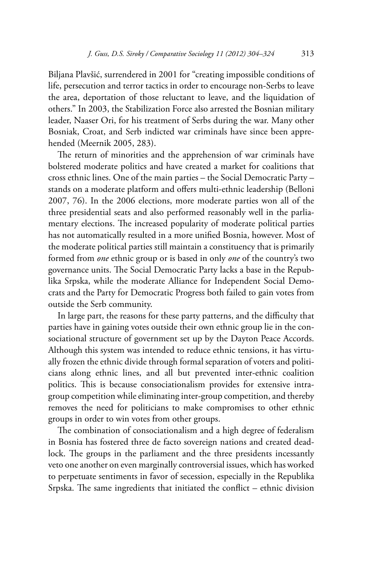Biljana Plavšić, surrendered in 2001 for "creating impossible conditions of life, persecution and terror tactics in order to encourage non-Serbs to leave the area, deportation of those reluctant to leave, and the liquidation of others." In 2003, the Stabilization Force also arrested the Bosnian military leader, Naaser Ori, for his treatment of Serbs during the war. Many other Bosniak, Croat, and Serb indicted war criminals have since been apprehended (Meernik 2005, 283).

The return of minorities and the apprehension of war criminals have bolstered moderate politics and have created a market for coalitions that cross ethnic lines. One of the main parties – the Social Democratic Party – stands on a moderate platform and offers multi-ethnic leadership (Belloni 2007, 76). In the 2006 elections, more moderate parties won all of the three presidential seats and also performed reasonably well in the parliamentary elections. The increased popularity of moderate political parties has not automatically resulted in a more unified Bosnia, however. Most of the moderate political parties still maintain a constituency that is primarily formed from *one* ethnic group or is based in only *one* of the country's two governance units. The Social Democratic Party lacks a base in the Republika Srpska, while the moderate Alliance for Independent Social Democrats and the Party for Democratic Progress both failed to gain votes from outside the Serb community.

In large part, the reasons for these party patterns, and the difficulty that parties have in gaining votes outside their own ethnic group lie in the consociational structure of government set up by the Dayton Peace Accords. Although this system was intended to reduce ethnic tensions, it has virtually frozen the ethnic divide through formal separation of voters and politicians along ethnic lines, and all but prevented inter-ethnic coalition politics. This is because consociationalism provides for extensive intragroup competition while eliminating inter-group competition, and thereby removes the need for politicians to make compromises to other ethnic groups in order to win votes from other groups.

The combination of consociationalism and a high degree of federalism in Bosnia has fostered three de facto sovereign nations and created deadlock. The groups in the parliament and the three presidents incessantly veto one another on even marginally controversial issues, which has worked to perpetuate sentiments in favor of secession, especially in the Republika Srpska. The same ingredients that initiated the conflict – ethnic division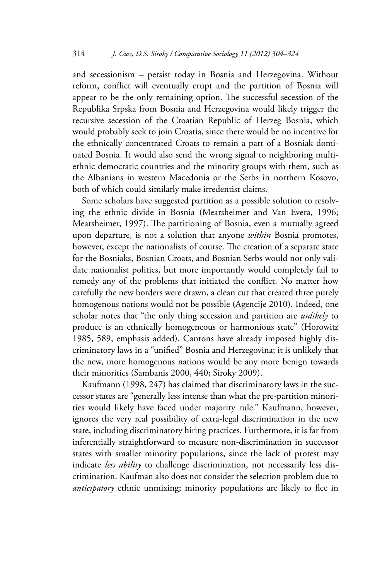and secessionism – persist today in Bosnia and Herzegovina. Without reform, conflict will eventually erupt and the partition of Bosnia will appear to be the only remaining option. The successful secession of the Republika Srpska from Bosnia and Herzegovina would likely trigger the recursive secession of the Croatian Republic of Herzeg Bosnia, which would probably seek to join Croatia, since there would be no incentive for the ethnically concentrated Croats to remain a part of a Bosniak dominated Bosnia. It would also send the wrong signal to neighboring multiethnic democratic countries and the minority groups with them, such as the Albanians in western Macedonia or the Serbs in northern Kosovo, both of which could similarly make irredentist claims.

Some scholars have suggested partition as a possible solution to resolving the ethnic divide in Bosnia (Mearsheimer and Van Evera, 1996; Mearsheimer, 1997). The partitioning of Bosnia, even a mutually agreed upon departure, is not a solution that anyone *within* Bosnia promotes, however, except the nationalists of course. The creation of a separate state for the Bosniaks, Bosnian Croats, and Bosnian Serbs would not only validate nationalist politics, but more importantly would completely fail to remedy any of the problems that initiated the conflict. No matter how carefully the new borders were drawn, a clean cut that created three purely homogenous nations would not be possible (Agencije 2010). Indeed, one scholar notes that "the only thing secession and partition are *unlikely* to produce is an ethnically homogeneous or harmonious state" (Horowitz 1985, 589, emphasis added). Cantons have already imposed highly discriminatory laws in a "unified" Bosnia and Herzegovina; it is unlikely that the new, more homogenous nations would be any more benign towards their minorities (Sambanis 2000, 440; Siroky 2009).

Kaufmann (1998, 247) has claimed that discriminatory laws in the successor states are "generally less intense than what the pre-partition minorities would likely have faced under majority rule." Kaufmann, however, ignores the very real possibility of extra-legal discrimination in the new state, including discriminatory hiring practices. Furthermore, it is far from inferentially straightforward to measure non-discrimination in successor states with smaller minority populations, since the lack of protest may indicate *less ability* to challenge discrimination, not necessarily less discrimination. Kaufman also does not consider the selection problem due to *anticipatory* ethnic unmixing; minority populations are likely to flee in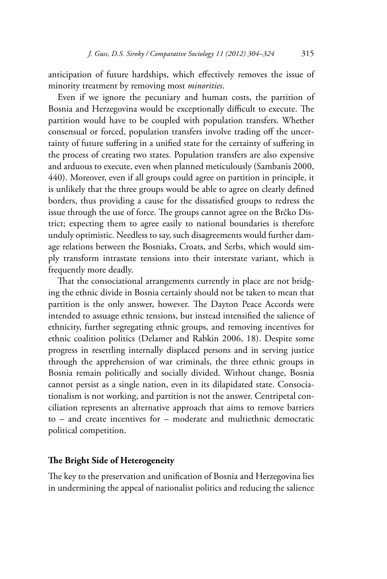anticipation of future hardships, which effectively removes the issue of minority treatment by removing most *minorities*.

Even if we ignore the pecuniary and human costs, the partition of Bosnia and Herzegovina would be exceptionally difficult to execute. The partition would have to be coupled with population transfers. Whether consensual or forced, population transfers involve trading off the uncertainty of future suffering in a unified state for the certainty of suffering in the process of creating two states. Population transfers are also expensive and arduous to execute, even when planned meticulously (Sambanis 2000, 440). Moreover, even if all groups could agree on partition in principle, it is unlikely that the three groups would be able to agree on clearly defined borders, thus providing a cause for the dissatisfied groups to redress the issue through the use of force. The groups cannot agree on the Brčko District; expecting them to agree easily to national boundaries is therefore unduly optimistic. Needless to say, such disagreements would further damage relations between the Bosniaks, Croats, and Serbs, which would simply transform intrastate tensions into their interstate variant, which is frequently more deadly.

That the consociational arrangements currently in place are not bridging the ethnic divide in Bosnia certainly should not be taken to mean that partition is the only answer, however. The Dayton Peace Accords were intended to assuage ethnic tensions, but instead intensified the salience of ethnicity, further segregating ethnic groups, and removing incentives for ethnic coalition politics (Delamer and Rabkin 2006, 18). Despite some progress in resettling internally displaced persons and in serving justice through the apprehension of war criminals, the three ethnic groups in Bosnia remain politically and socially divided. Without change, Bosnia cannot persist as a single nation, even in its dilapidated state. Consociationalism is not working, and partition is not the answer. Centripetal conciliation represents an alternative approach that aims to remove barriers to – and create incentives for – moderate and multiethnic democratic political competition.

## **The Bright Side of Heterogeneity**

The key to the preservation and unification of Bosnia and Herzegovina lies in undermining the appeal of nationalist politics and reducing the salience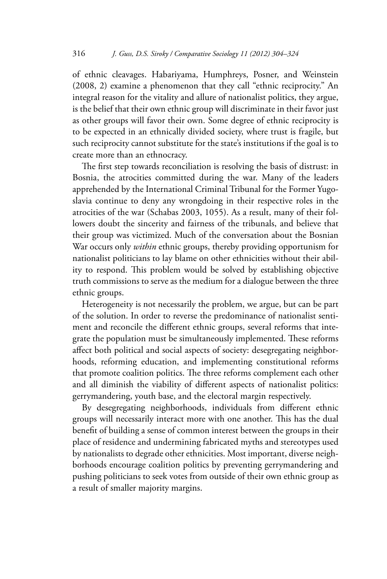of ethnic cleavages. Habariyama, Humphreys, Posner, and Weinstein (2008, 2) examine a phenomenon that they call "ethnic reciprocity." An integral reason for the vitality and allure of nationalist politics, they argue, is the belief that their own ethnic group will discriminate in their favor just as other groups will favor their own. Some degree of ethnic reciprocity is to be expected in an ethnically divided society, where trust is fragile, but such reciprocity cannot substitute for the state's institutions if the goal is to create more than an ethnocracy.

The first step towards reconciliation is resolving the basis of distrust: in Bosnia, the atrocities committed during the war. Many of the leaders apprehended by the International Criminal Tribunal for the Former Yugoslavia continue to deny any wrongdoing in their respective roles in the atrocities of the war (Schabas 2003, 1055). As a result, many of their followers doubt the sincerity and fairness of the tribunals, and believe that their group was victimized. Much of the conversation about the Bosnian War occurs only *within* ethnic groups, thereby providing opportunism for nationalist politicians to lay blame on other ethnicities without their ability to respond. This problem would be solved by establishing objective truth commissions to serve as the medium for a dialogue between the three ethnic groups.

Heterogeneity is not necessarily the problem, we argue, but can be part of the solution. In order to reverse the predominance of nationalist sentiment and reconcile the different ethnic groups, several reforms that integrate the population must be simultaneously implemented. These reforms affect both political and social aspects of society: desegregating neighborhoods, reforming education, and implementing constitutional reforms that promote coalition politics. The three reforms complement each other and all diminish the viability of different aspects of nationalist politics: gerrymandering, youth base, and the electoral margin respectively.

By desegregating neighborhoods, individuals from different ethnic groups will necessarily interact more with one another. This has the dual benefit of building a sense of common interest between the groups in their place of residence and undermining fabricated myths and stereotypes used by nationalists to degrade other ethnicities. Most important, diverse neighborhoods encourage coalition politics by preventing gerrymandering and pushing politicians to seek votes from outside of their own ethnic group as a result of smaller majority margins.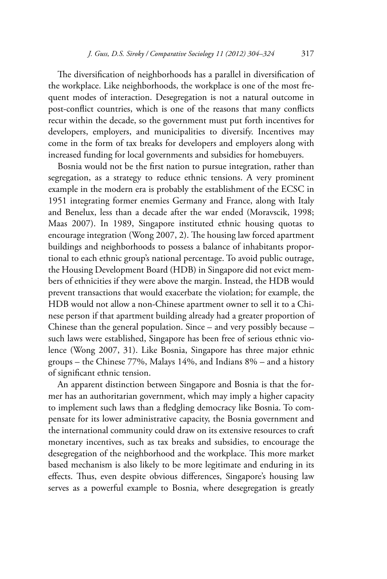The diversification of neighborhoods has a parallel in diversification of the workplace. Like neighborhoods, the workplace is one of the most frequent modes of interaction. Desegregation is not a natural outcome in post-conflict countries, which is one of the reasons that many conflicts recur within the decade, so the government must put forth incentives for developers, employers, and municipalities to diversify. Incentives may come in the form of tax breaks for developers and employers along with increased funding for local governments and subsidies for homebuyers.

Bosnia would not be the first nation to pursue integration, rather than segregation, as a strategy to reduce ethnic tensions. A very prominent example in the modern era is probably the establishment of the ECSC in 1951 integrating former enemies Germany and France, along with Italy and Benelux, less than a decade after the war ended (Moravscik, 1998; Maas 2007). In 1989, Singapore instituted ethnic housing quotas to encourage integration (Wong 2007, 2). The housing law forced apartment buildings and neighborhoods to possess a balance of inhabitants proportional to each ethnic group's national percentage. To avoid public outrage, the Housing Development Board (HDB) in Singapore did not evict members of ethnicities if they were above the margin. Instead, the HDB would prevent transactions that would exacerbate the violation; for example, the HDB would not allow a non-Chinese apartment owner to sell it to a Chinese person if that apartment building already had a greater proportion of Chinese than the general population. Since – and very possibly because – such laws were established, Singapore has been free of serious ethnic violence (Wong 2007, 31). Like Bosnia, Singapore has three major ethnic groups – the Chinese 77%, Malays 14%, and Indians 8% – and a history of significant ethnic tension.

An apparent distinction between Singapore and Bosnia is that the former has an authoritarian government, which may imply a higher capacity to implement such laws than a fledgling democracy like Bosnia. To compensate for its lower administrative capacity, the Bosnia government and the international community could draw on its extensive resources to craft monetary incentives, such as tax breaks and subsidies, to encourage the desegregation of the neighborhood and the workplace. This more market based mechanism is also likely to be more legitimate and enduring in its effects. Thus, even despite obvious differences, Singapore's housing law serves as a powerful example to Bosnia, where desegregation is greatly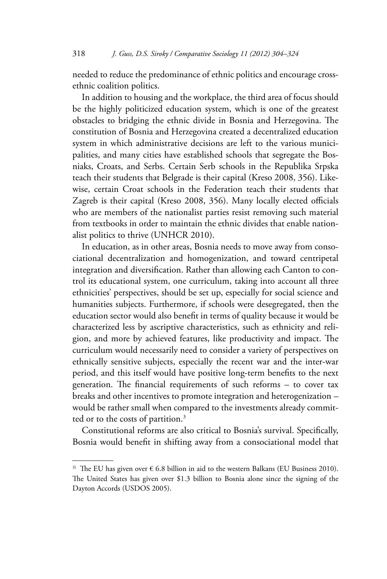needed to reduce the predominance of ethnic politics and encourage crossethnic coalition politics.

In addition to housing and the workplace, the third area of focus should be the highly politicized education system, which is one of the greatest obstacles to bridging the ethnic divide in Bosnia and Herzegovina. The constitution of Bosnia and Herzegovina created a decentralized education system in which administrative decisions are left to the various municipalities, and many cities have established schools that segregate the Bosniaks, Croats, and Serbs. Certain Serb schools in the Republika Srpska teach their students that Belgrade is their capital (Kreso 2008, 356). Likewise, certain Croat schools in the Federation teach their students that Zagreb is their capital (Kreso 2008, 356). Many locally elected officials who are members of the nationalist parties resist removing such material from textbooks in order to maintain the ethnic divides that enable nationalist politics to thrive (UNHCR 2010).

In education, as in other areas, Bosnia needs to move away from consociational decentralization and homogenization, and toward centripetal integration and diversification. Rather than allowing each Canton to control its educational system, one curriculum, taking into account all three ethnicities' perspectives, should be set up, especially for social science and humanities subjects. Furthermore, if schools were desegregated, then the education sector would also benefit in terms of quality because it would be characterized less by ascriptive characteristics, such as ethnicity and religion, and more by achieved features, like productivity and impact. The curriculum would necessarily need to consider a variety of perspectives on ethnically sensitive subjects, especially the recent war and the inter-war period, and this itself would have positive long-term benefits to the next generation. The financial requirements of such reforms – to cover tax breaks and other incentives to promote integration and heterogenization – would be rather small when compared to the investments already committed or to the costs of partition.3

Constitutional reforms are also critical to Bosnia's survival. Specifically, Bosnia would benefit in shifting away from a consociational model that

<sup>&</sup>lt;sup>3)</sup> The EU has given over  $\epsilon$  6.8 billion in aid to the western Balkans (EU Business 2010). The United States has given over \$1.3 billion to Bosnia alone since the signing of the Dayton Accords (USDOS 2005).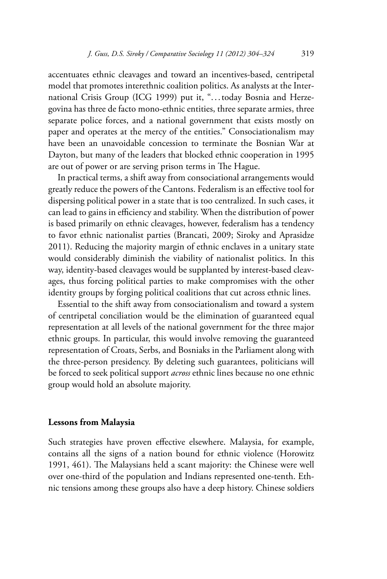accentuates ethnic cleavages and toward an incentives-based, centripetal model that promotes interethnic coalition politics. As analysts at the International Crisis Group (ICG 1999) put it, "...today Bosnia and Herzegovina has three de facto mono-ethnic entities, three separate armies, three separate police forces, and a national government that exists mostly on paper and operates at the mercy of the entities." Consociationalism may have been an unavoidable concession to terminate the Bosnian War at Dayton, but many of the leaders that blocked ethnic cooperation in 1995 are out of power or are serving prison terms in The Hague.

In practical terms, a shift away from consociational arrangements would greatly reduce the powers of the Cantons. Federalism is an effective tool for dispersing political power in a state that is too centralized. In such cases, it can lead to gains in efficiency and stability. When the distribution of power is based primarily on ethnic cleavages, however, federalism has a tendency to favor ethnic nationalist parties (Brancati, 2009; Siroky and Aprasidze 2011). Reducing the majority margin of ethnic enclaves in a unitary state would considerably diminish the viability of nationalist politics. In this way, identity-based cleavages would be supplanted by interest-based cleavages, thus forcing political parties to make compromises with the other identity groups by forging political coalitions that cut across ethnic lines.

Essential to the shift away from consociationalism and toward a system of centripetal conciliation would be the elimination of guaranteed equal representation at all levels of the national government for the three major ethnic groups. In particular, this would involve removing the guaranteed representation of Croats, Serbs, and Bosniaks in the Parliament along with the three-person presidency. By deleting such guarantees, politicians will be forced to seek political support *across* ethnic lines because no one ethnic group would hold an absolute majority.

#### **Lessons from Malaysia**

Such strategies have proven effective elsewhere. Malaysia, for example, contains all the signs of a nation bound for ethnic violence (Horowitz 1991, 461). The Malaysians held a scant majority: the Chinese were well over one-third of the population and Indians represented one-tenth. Ethnic tensions among these groups also have a deep history. Chinese soldiers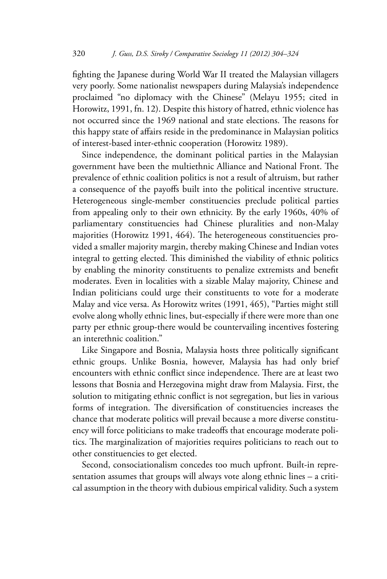fighting the Japanese during World War II treated the Malaysian villagers very poorly. Some nationalist newspapers during Malaysia's independence proclaimed "no diplomacy with the Chinese" (Melayu 1955; cited in Horowitz, 1991, fn. 12). Despite this history of hatred, ethnic violence has not occurred since the 1969 national and state elections. The reasons for this happy state of affairs reside in the predominance in Malaysian politics of interest-based inter-ethnic cooperation (Horowitz 1989).

Since independence, the dominant political parties in the Malaysian government have been the multiethnic Alliance and National Front. The prevalence of ethnic coalition politics is not a result of altruism, but rather a consequence of the payoffs built into the political incentive structure. Heterogeneous single-member constituencies preclude political parties from appealing only to their own ethnicity. By the early 1960s, 40% of parliamentary constituencies had Chinese pluralities and non-Malay majorities (Horowitz 1991, 464). The heterogeneous constituencies provided a smaller majority margin, thereby making Chinese and Indian votes integral to getting elected. This diminished the viability of ethnic politics by enabling the minority constituents to penalize extremists and benefit moderates. Even in localities with a sizable Malay majority, Chinese and Indian politicians could urge their constituents to vote for a moderate Malay and vice versa. As Horowitz writes (1991, 465), "Parties might still evolve along wholly ethnic lines, but-especially if there were more than one party per ethnic group-there would be countervailing incentives fostering an interethnic coalition."

Like Singapore and Bosnia, Malaysia hosts three politically significant ethnic groups. Unlike Bosnia, however, Malaysia has had only brief encounters with ethnic conflict since independence. There are at least two lessons that Bosnia and Herzegovina might draw from Malaysia. First, the solution to mitigating ethnic conflict is not segregation, but lies in various forms of integration. The diversification of constituencies increases the chance that moderate politics will prevail because a more diverse constituency will force politicians to make tradeoffs that encourage moderate politics. The marginalization of majorities requires politicians to reach out to other constituencies to get elected.

Second, consociationalism concedes too much upfront. Built-in representation assumes that groups will always vote along ethnic lines – a critical assumption in the theory with dubious empirical validity. Such a system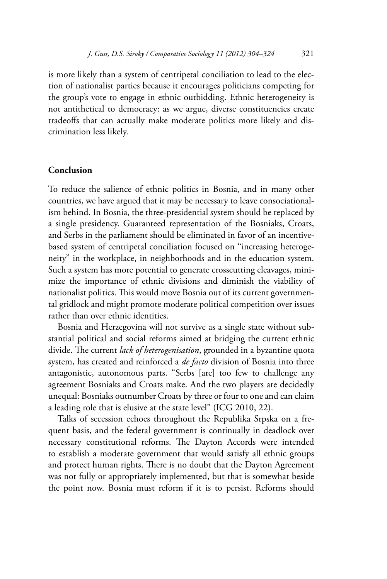is more likely than a system of centripetal conciliation to lead to the election of nationalist parties because it encourages politicians competing for the group's vote to engage in ethnic outbidding. Ethnic heterogeneity is not antithetical to democracy: as we argue, diverse constituencies create tradeoffs that can actually make moderate politics more likely and discrimination less likely.

## **Conclusion**

To reduce the salience of ethnic politics in Bosnia, and in many other countries, we have argued that it may be necessary to leave consociationalism behind. In Bosnia, the three-presidential system should be replaced by a single presidency. Guaranteed representation of the Bosniaks, Croats, and Serbs in the parliament should be eliminated in favor of an incentivebased system of centripetal conciliation focused on "increasing heterogeneity" in the workplace, in neighborhoods and in the education system. Such a system has more potential to generate crosscutting cleavages, minimize the importance of ethnic divisions and diminish the viability of nationalist politics. This would move Bosnia out of its current governmental gridlock and might promote moderate political competition over issues rather than over ethnic identities.

Bosnia and Herzegovina will not survive as a single state without substantial political and social reforms aimed at bridging the current ethnic divide. The current *lack of heterogenisation*, grounded in a byzantine quota system, has created and reinforced a *de facto* division of Bosnia into three antagonistic, autonomous parts. "Serbs [are] too few to challenge any agreement Bosniaks and Croats make. And the two players are decidedly unequal: Bosniaks outnumber Croats by three or four to one and can claim a leading role that is elusive at the state level" (ICG 2010, 22).

Talks of secession echoes throughout the Republika Srpska on a frequent basis, and the federal government is continually in deadlock over necessary constitutional reforms. The Dayton Accords were intended to establish a moderate government that would satisfy all ethnic groups and protect human rights. There is no doubt that the Dayton Agreement was not fully or appropriately implemented, but that is somewhat beside the point now. Bosnia must reform if it is to persist. Reforms should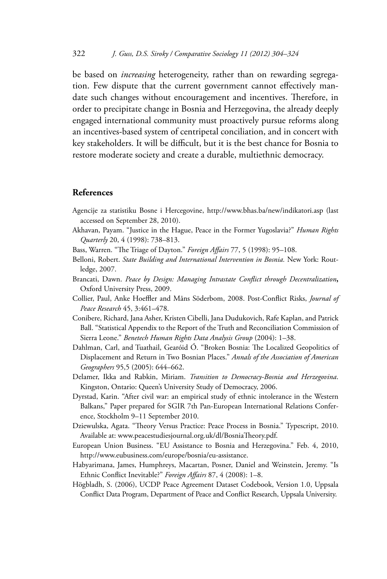be based on *increasing* heterogeneity, rather than on rewarding segregation. Few dispute that the current government cannot effectively mandate such changes without encouragement and incentives. Therefore, in order to precipitate change in Bosnia and Herzegovina, the already deeply engaged international community must proactively pursue reforms along an incentives-based system of centripetal conciliation, and in concert with key stakeholders. It will be difficult, but it is the best chance for Bosnia to restore moderate society and create a durable, multiethnic democracy.

## **References**

- Agencije za statistiku Bosne i Hercegovine, http://www.bhas.ba/new/indikatori.asp (last accessed on September 28, 2010).
- Akhavan, Payam. "Justice in the Hague, Peace in the Former Yugoslavia?" *Human Rights Quarterly* 20, 4 (1998): 738–813.
- Bass, Warren. "The Triage of Dayton." *Foreign Affairs* 77, 5 (1998): 95–108.
- Belloni, Robert. *State Building and International Intervention in Bosnia.* New York: Routledge, 2007.
- Brancati, Dawn. *Peace by Design: Managing Intrastate Conflict through Decentralization***,**  Oxford University Press, 2009.
- Collier, Paul, Anke Hoeffler and Måns Söderbom, 2008. Post-Conflict Risks, *Journal of Peace Research* 45, 3:461–478.
- Conibere, Richard, Jana Asher, Kristen Cibelli, Jana Dudukovich, Rafe Kaplan, and Patrick Ball. "Statistical Appendix to the Report of the Truth and Reconciliation Commission of Sierra Leone." *Benetech Human Rights Data Analysis Group* (2004): 1–38.
- Dahlman, Carl, and Tuathail, Gearóid Ó. "Broken Bosnia: The Localized Geopolitics of Displacement and Return in Two Bosnian Places." *Annals of the Association of American Geographers* 95,5 (2005): 644–662.
- Delamer, Ikka and Rabkin, Miriam. *Transition to Democracy-Bosnia and Herzegovina*. Kingston, Ontario: Queen's University Study of Democracy, 2006.
- Dyrstad, Karin. "After civil war: an empirical study of ethnic intolerance in the Western Balkans," Paper prepared for SGIR 7th Pan-European International Relations Conference, Stockholm 9–11 September 2010.
- Dziewulska, Agata. "Theory Versus Practice: Peace Process in Bosnia." Typescript, 2010. Available at: www.peacestudiesjournal.org.uk/dl/BosniaTheory.pdf.
- European Union Business. "EU Assistance to Bosnia and Herzegovina." Feb. 4, 2010, http://www.eubusiness.com/europe/bosnia/eu-assistance.
- Habyarimana, James, Humphreys, Macartan, Posner, Daniel and Weinstein, Jeremy. "Is Ethnic Conflict Inevitable?" *Foreign Affairs* 87, 4 (2008): 1–8.
- Högbladh, S. (2006), UCDP Peace Agreement Dataset Codebook, Version 1.0, Uppsala Conflict Data Program, Department of Peace and Conflict Research, Uppsala University.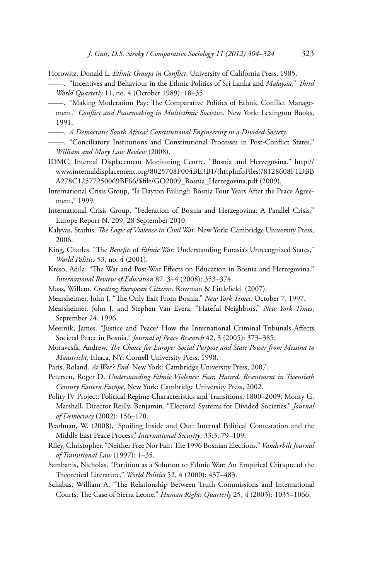- Horowitz, Donald L. *Ethnic Groups in Conflict*, University of California Press, 1985.
- ——. "Incentives and Behaviour in the Ethnic Politics of Sri Lanka and *Malaysia*," *Third World Quarterly* 11, no. 4 (October 1989): 18–35.
- ——. "Making Moderation Pay: The Comparative Politics of Ethnic Conflict Management." *Conflict and Peacemaking in Multiethnic Societies.* New York: Lexington Books, 1991.
- ——. *A Democratic South Africa? Constitutional Engineering in a Divided Society*.
- ——. "Conciliatory Institutions and Constitutional Processes in Post-Conflict States," *William and Mary Law Review* (2008).
- IDMC, Internal Displacement Monitoring Centre. "Bosnia and Herzegovina." http:// www.internaldisplacement.org/8025708F004BE3B1/(httpInfoFiles)/8128608F1DBB A278C12577250069BF66/\$file/GO2009\_Bosnia\_Herzegovina.pdf (2009).
- International Crisis Group, "Is Dayton Failing?: Bosnia Four Years After the Peace Agreement," 1999.
- International Crisis Group, "Federation of Bosnia and Herzegovina: A Parallel Crisis," Europe Report N. 209, 28 September 2010.
- Kalyvas, Stathis. *The Logic of Violence in Civil War*. New York: Cambridge University Press, 2006.
- King, Charles. "The *Benefits* of *Ethnic War*: Understanding Eurasia's Unrecognized States," *World Politics* 53, no. 4 (2001).
- Kreso, Adila. "The War and Post-War Effects on Education in Bosnia and Herzegovina." *International Review of Education* 87, 3–4 (2008): 353–374.
- Maas, Willem. *Creating European Citizens*. Rowman & Littlefield. (2007).
- Mearsheimer, John J. "The Only Exit From Bosnia," *New York Times*, October 7, 1997.
- Mearsheimer, John J. and Stephen Van Evera, "Hateful Neighbors," *New York Times*, September 24, 1996.
- Meernik, James. "Justice and Peace? How the International Criminal Tribunals Affects Societal Peace in Bosnia." *Journal of Peace Research* 42, 3 (2005): 373–385.
- Moravcsik, Andrew. *The Choice for Europe: Social Purpose and State Power from Messina to Maastricht*, Ithaca, NY: Cornell University Press, 1998.
- Paris, Roland. *At War's End.* New York: Cambridge University Press, 2007.
- Petersen, Roger D. *Understanding Ethnic Violence: Fear, Hatred, Resentment in Twentieth Century Eastern Europe*, New York: Cambridge University Press, 2002.
- Polity IV Project: Political Regime Characteristics and Transitions, 1800–2009, Monty G. Marshall, Director Reilly, Benjamin. "Electoral Systems for Divided Societies." *Journal of Democracy* (2002): 156–170.
- Pearlman, W. (2008), 'Spoiling Inside and Out: Internal Political Contestation and the Middle East Peace Process,' *International Security*, 33:3, 79–109.
- Riley, Christopher. "Neither Free Nor Fair: The 1996 Bosnian Elections." *Vanderbilt Journal of Transitional Law* (1997): 1–35.
- Sambanis, Nicholas. "Partition as a Solution to Ethnic War: An Empirical Critique of the Theoretical Literature." *World Politics* 52, 4 (2000): 437–483.
- Schabas, William A. "The Relationship Between Truth Commissions and International Courts: The Case of Sierra Leone." *Human Rights Quarterly* 25, 4 (2003): 1035–1066.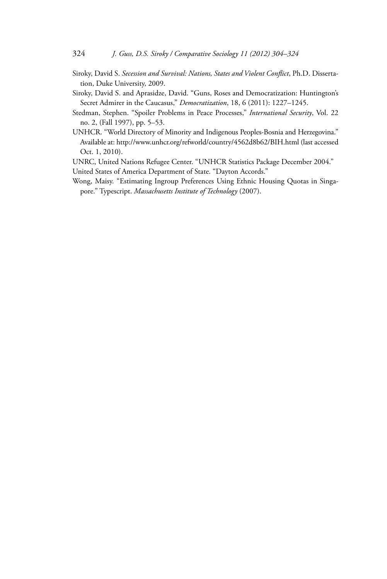- Siroky, David S. *Secession and Survival: Nations, States and Violent Conflict*, Ph.D. Dissertation, Duke University, 2009.
- Siroky, David S. and Aprasidze, David. "Guns, Roses and Democratization: Huntington's Secret Admirer in the Caucasus," *Democratization*, 18, 6 (2011): 1227–1245.
- Stedman, Stephen. "Spoiler Problems in Peace Processes," *International Security*, Vol. 22 no. 2, (Fall 1997), pp. 5–53.
- UNHCR. "World Directory of Minority and Indigenous Peoples-Bosnia and Herzegovina." Available at: http://www.unhcr.org/refworld/country/4562d8b62/BIH.html (last accessed Oct. 1, 2010).
- UNRC, United Nations Refugee Center. "UNHCR Statistics Package December 2004."
- United States of America Department of State. "Dayton Accords."
- Wong, Maisy. "Estimating Ingroup Preferences Using Ethnic Housing Quotas in Singapore." Typescript. *Massachusetts Institute of Technology* (2007).